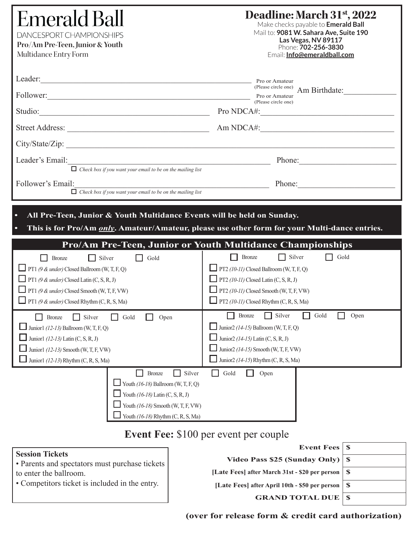| <b>Emerald Ball</b><br><b>DANCESPORT CHAMPIONSHIPS</b><br>Pro/Am Pre-Teen, Junior & Youth<br>Multidance Entry Form                                                                                                                                                                 | Deadline: March 31 <sup>st</sup> , 2022<br>Make checks payable to <b>Emerald Ball</b><br>Mail to: 9081 W. Sahara Ave, Suite 190<br>Las Vegas, NV 89117<br>Phone: 702-256-3830<br>Email: Info@emeraldball.com                                                                                                      |  |  |  |
|------------------------------------------------------------------------------------------------------------------------------------------------------------------------------------------------------------------------------------------------------------------------------------|-------------------------------------------------------------------------------------------------------------------------------------------------------------------------------------------------------------------------------------------------------------------------------------------------------------------|--|--|--|
| Leader:<br>Follower: New York Contract to the Contract of the Contract of the Contract of the Contract of the Contract of the Contract of the Contract of the Contract of the Contract of the Contract of the Contract of the Contract of<br>Studio: Pro NDCA#:<br>City/State/Zip: | Pro or Amateur<br>(Please circle one)<br>Am Birthdate:<br>Pro or Amateur<br>(Please circle one)                                                                                                                                                                                                                   |  |  |  |
| Leader's Email:<br>$\Box$ Check box if you want your email to be on the mailing list<br>Follower's Email:<br>$\Box$ Check box if you want your email to be on the mailing list                                                                                                     | Phone:<br>Phone:                                                                                                                                                                                                                                                                                                  |  |  |  |
| $\bullet$<br>All Pre-Teen, Junior & Youth Multidance Events will be held on Sunday.<br>This is for Pro/Am <i>only</i> . Amateur/Amateur, please use other form for your Multi-dance entries.<br>$\bullet$                                                                          |                                                                                                                                                                                                                                                                                                                   |  |  |  |
| $\Box$ Silver<br>Gold<br><b>Bronze</b><br><b>PT1</b> (9 & under) Closed Ballroom (W, T, F, Q)<br>PT1 (9 & under) Closed Latin (C, S, R, J)<br>$\Box$ PT1 (9 & under) Closed Smooth (W, T, F, VW)<br>PT1 (9 & under) Closed Rhythm (C, R, S, Ma)                                    | Pro/Am Pre-Teen, Junior or Youth Multidance Championships<br>$\Box$ Silver<br>$\Box$ Gold<br><b>Bronze</b><br>$\Box$ PT2 (10-11) Closed Ballroom (W, T, F, Q)<br><b>PT2</b> (10-11) Closed Latin (C, S, R, J)<br>$\Box$ PT2 (10-11) Closed Smooth (W, T, F, VW)<br><b>PT2</b> (10-11) Closed Rhythm (C, R, S, Ma) |  |  |  |
| Silver<br>Open<br><b>Bronze</b><br>Gold<br>Junior1 $(12-13)$ Ballroom (W, T, F, Q)<br>Junior1 (12-13) Latin (C, S, R, J)<br>Junior1 (12-13) Smooth (W, T, F, VW)<br>Junior1 $(12-13)$ Rhythm (C, R, S, Ma)                                                                         | Silver<br>Gold<br><b>Bronze</b><br>Open<br>- 1<br>Junior2 $(14-15)$ Ballroom (W, T, F, Q)<br>Junior2 $(14-15)$ Latin (C, S, R, J)<br>Junior2 $(14-15)$ Smooth (W, T, F, VW)<br>Junior <sub>2</sub> (14-15) Rhythm (C, R, S, Ma)                                                                                   |  |  |  |
| Silver<br>Bronze<br>Youth $(16-18)$ Ballroom (W, T, F, Q)<br>Youth $(16-18)$ Latin $(C, S, R, J)$<br>Youth (16-18) Smooth (W, T, F, VW)<br>Youth (16-18) Rhythm (C, R, S, Ma)                                                                                                      | Gold<br>Open<br>Event $\mathbf{F}$ ee' \$100 per event per couple                                                                                                                                                                                                                                                 |  |  |  |

# **Event Fee:** \$100 per event per couple

# **Session Tickets**

• Parents and spectators must purchase tickets to enter the ballroom.

• Competitors ticket is included in the entry.

| Event Fees   \$ |  |  |
|-----------------|--|--|
|-----------------|--|--|

**Video Pass \$25 (Sunday Only) \$ [Late Fees] after March 31st - \$20 per person | \$** 

**[Late Fees] after April 10th - \$50 per person \$**

**GRAND TOTAL DUE \$**

**(over for release form & credit card authorization)**